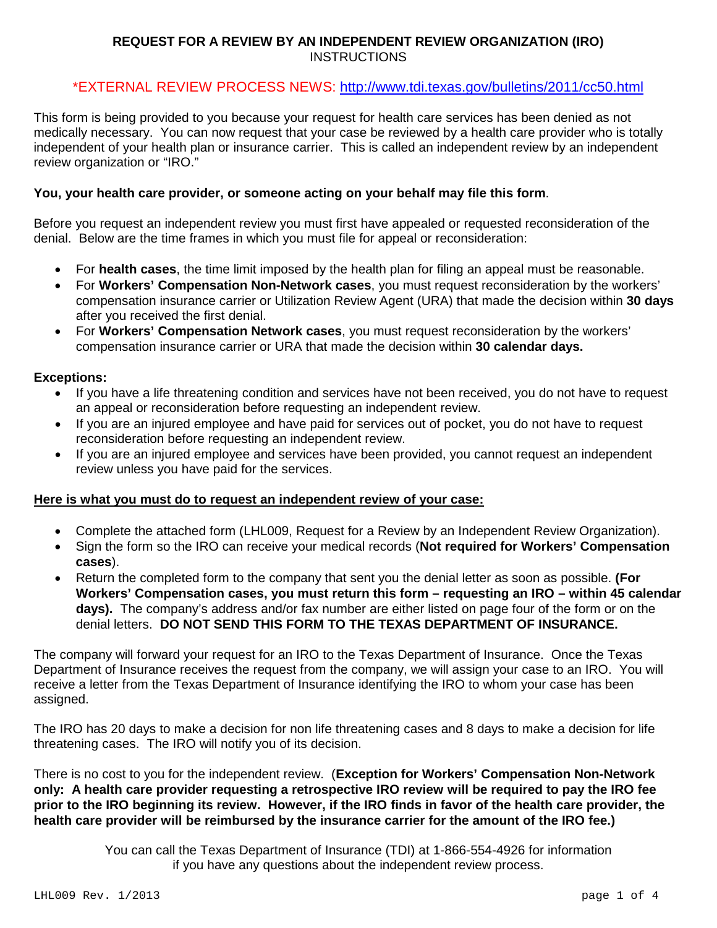## **REQUEST FOR A REVIEW BY AN INDEPENDENT REVIEW ORGANIZATION (IRO)** INSTRUCTIONS

## \*EXTERNAL REVIEW PROCESS NEWS:<http://www.tdi.texas.gov/bulletins/2011/cc50.html>

This form is being provided to you because your request for health care services has been denied as not medically necessary. You can now request that your case be reviewed by a health care provider who is totally independent of your health plan or insurance carrier. This is called an independent review by an independent review organization or "IRO."

## **You, your health care provider, or someone acting on your behalf may file this form**.

Before you request an independent review you must first have appealed or requested reconsideration of the denial. Below are the time frames in which you must file for appeal or reconsideration:

- For **health cases**, the time limit imposed by the health plan for filing an appeal must be reasonable.
- For **Workers' Compensation Non-Network cases**, you must request reconsideration by the workers' compensation insurance carrier or Utilization Review Agent (URA) that made the decision within **30 days** after you received the first denial.
- For **Workers' Compensation Network cases**, you must request reconsideration by the workers' compensation insurance carrier or URA that made the decision within **30 calendar days.**

### **Exceptions:**

- If you have a life threatening condition and services have not been received, you do not have to request an appeal or reconsideration before requesting an independent review.
- If you are an injured employee and have paid for services out of pocket, you do not have to request reconsideration before requesting an independent review.
- If you are an injured employee and services have been provided, you cannot request an independent review unless you have paid for the services.

### **Here is what you must do to request an independent review of your case:**

- Complete the attached form (LHL009, Request for a Review by an Independent Review Organization).
- Sign the form so the IRO can receive your medical records (**Not required for Workers' Compensation cases**).
- Return the completed form to the company that sent you the denial letter as soon as possible. **(For Workers' Compensation cases, you must return this form – requesting an IRO – within 45 calendar days).** The company's address and/or fax number are either listed on page four of the form or on the denial letters. **DO NOT SEND THIS FORM TO THE TEXAS DEPARTMENT OF INSURANCE.**

The company will forward your request for an IRO to the Texas Department of Insurance. Once the Texas Department of Insurance receives the request from the company, we will assign your case to an IRO. You will receive a letter from the Texas Department of Insurance identifying the IRO to whom your case has been assigned.

The IRO has 20 days to make a decision for non life threatening cases and 8 days to make a decision for life threatening cases. The IRO will notify you of its decision.

There is no cost to you for the independent review. (**Exception for Workers' Compensation Non-Network only: A health care provider requesting a retrospective IRO review will be required to pay the IRO fee prior to the IRO beginning its review. However, if the IRO finds in favor of the health care provider, the health care provider will be reimbursed by the insurance carrier for the amount of the IRO fee.)**

> You can call the Texas Department of Insurance (TDI) at 1-866-554-4926 for information if you have any questions about the independent review process.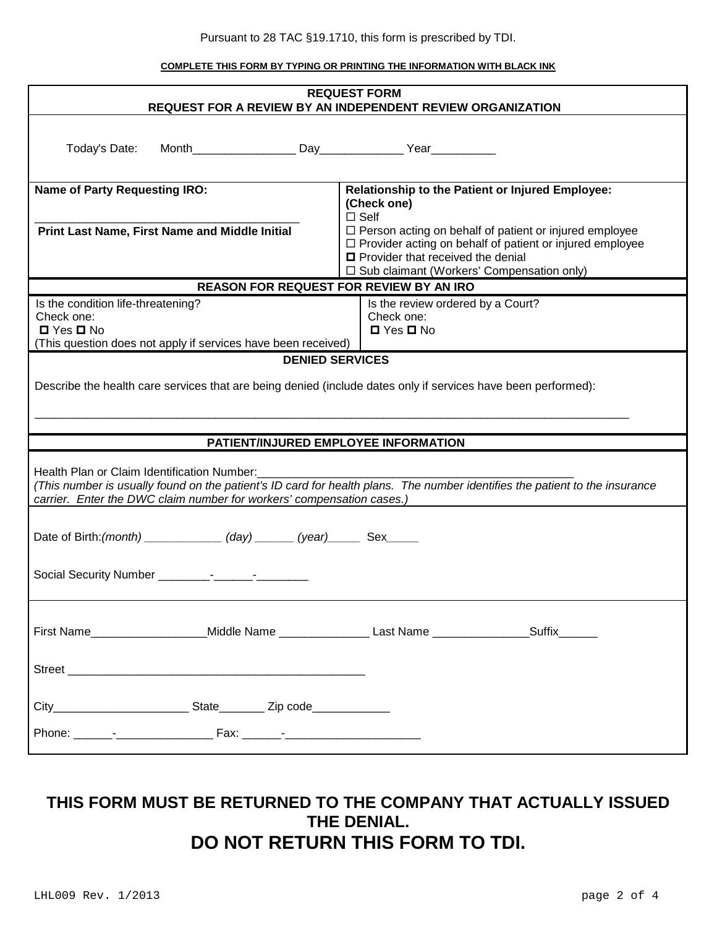Pursuant to 28 TAC §19.1710, this form is prescribed by TDI.

**COMPLETE THIS FORM BY TYPING OR PRINTING THE INFORMATION WITH BLACK INK**

| <b>REQUEST FORM</b><br><b>REQUEST FOR A REVIEW BY AN INDEPENDENT REVIEW ORGANIZATION</b>                                                                                   |                                                                                                             |
|----------------------------------------------------------------------------------------------------------------------------------------------------------------------------|-------------------------------------------------------------------------------------------------------------|
|                                                                                                                                                                            |                                                                                                             |
| Today's Date:                                                                                                                                                              |                                                                                                             |
|                                                                                                                                                                            |                                                                                                             |
| <b>Name of Party Requesting IRO:</b>                                                                                                                                       | Relationship to the Patient or Injured Employee:                                                            |
|                                                                                                                                                                            | (Check one)<br>$\square$ Self                                                                               |
| Print Last Name, First Name and Middle Initial                                                                                                                             | $\Box$ Person acting on behalf of patient or injured employee                                               |
|                                                                                                                                                                            | $\Box$ Provider acting on behalf of patient or injured employee<br>$\Box$ Provider that received the denial |
|                                                                                                                                                                            | □ Sub claimant (Workers' Compensation only)                                                                 |
| <b>REASON FOR REQUEST FOR REVIEW BY AN IRO</b>                                                                                                                             |                                                                                                             |
| Is the condition life-threatening?                                                                                                                                         | Is the review ordered by a Court?                                                                           |
| Check one:<br>$\Box$ Yes $\Box$ No                                                                                                                                         | Check one:<br>$\Box$ Yes $\Box$ No                                                                          |
| (This question does not apply if services have been received)                                                                                                              |                                                                                                             |
| <b>DENIED SERVICES</b>                                                                                                                                                     |                                                                                                             |
| Describe the health care services that are being denied (include dates only if services have been performed):                                                              |                                                                                                             |
|                                                                                                                                                                            |                                                                                                             |
|                                                                                                                                                                            |                                                                                                             |
| PATIENT/INJURED EMPLOYEE INFORMATION                                                                                                                                       |                                                                                                             |
|                                                                                                                                                                            |                                                                                                             |
| Health Plan or Claim Identification Number:<br>(This number is usually found on the patient's ID card for health plans. The number identifies the patient to the insurance |                                                                                                             |
| carrier. Enter the DWC claim number for workers' compensation cases.)                                                                                                      |                                                                                                             |
|                                                                                                                                                                            |                                                                                                             |
| Date of Birth: (month) ______________ (day) _______ (year) _______ Sex______                                                                                               |                                                                                                             |
|                                                                                                                                                                            |                                                                                                             |
|                                                                                                                                                                            |                                                                                                             |
|                                                                                                                                                                            |                                                                                                             |
|                                                                                                                                                                            |                                                                                                             |
|                                                                                                                                                                            |                                                                                                             |
|                                                                                                                                                                            |                                                                                                             |
|                                                                                                                                                                            |                                                                                                             |
|                                                                                                                                                                            |                                                                                                             |
|                                                                                                                                                                            |                                                                                                             |
|                                                                                                                                                                            |                                                                                                             |
|                                                                                                                                                                            |                                                                                                             |

## **THIS FORM MUST BE RETURNED TO THE COMPANY THAT ACTUALLY ISSUED THE DENIAL. DO NOT RETURN THIS FORM TO TDI.**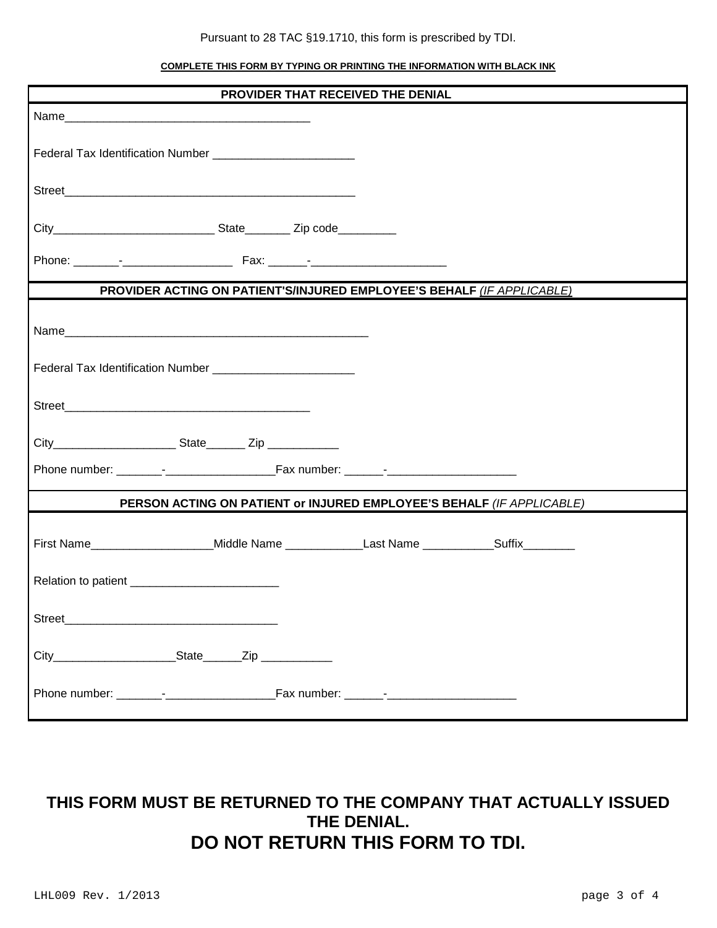#### Pursuant to 28 TAC §19.1710, this form is prescribed by TDI.

#### **COMPLETE THIS FORM BY TYPING OR PRINTING THE INFORMATION WITH BLACK INK**

| PROVIDER THAT RECEIVED THE DENIAL                                                                  |  |
|----------------------------------------------------------------------------------------------------|--|
|                                                                                                    |  |
| Federal Tax Identification Number ____________________________                                     |  |
|                                                                                                    |  |
|                                                                                                    |  |
|                                                                                                    |  |
| PROVIDER ACTING ON PATIENT'S/INJURED EMPLOYEE'S BEHALF (IF APPLICABLE)                             |  |
|                                                                                                    |  |
|                                                                                                    |  |
|                                                                                                    |  |
|                                                                                                    |  |
|                                                                                                    |  |
| PERSON ACTING ON PATIENT or INJURED EMPLOYEE'S BEHALF (IF APPLICABLE)                              |  |
| First Name_______________________Middle Name _______________Last Name ____________Suffix__________ |  |
| Relation to patient _____________________________                                                  |  |
|                                                                                                    |  |
| City______________________________State________Zip _______________                                 |  |
|                                                                                                    |  |

# **THIS FORM MUST BE RETURNED TO THE COMPANY THAT ACTUALLY ISSUED THE DENIAL. DO NOT RETURN THIS FORM TO TDI.**